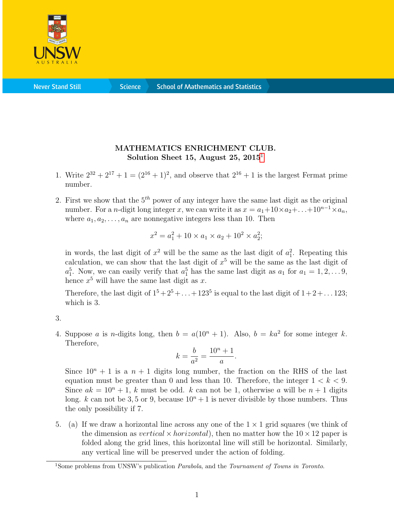

**Never Stand Still** 

**Science** 

## MATHEMATICS ENRICHMENT CLUB. Solution Sheet [1](#page-0-0)5, August 25,  $2015<sup>1</sup>$

- 1. Write  $2^{32} + 2^{17} + 1 = (2^{16} + 1)^2$ , and observe that  $2^{16} + 1$  is the largest Fermat prime number.
- 2. First we show that the  $5<sup>th</sup>$  power of any integer have the same last digit as the original number. For a *n*-digit long integer x, we can write it as  $x = a_1 + 10 \times a_2 + \ldots + 10^{n-1} \times a_n$ , where  $a_1, a_2, \ldots, a_n$  are nonnegative integers less than 10. Then

$$
x^2 = a_1^2 + 10 \times a_1 \times a_2 + 10^2 \times a_2^2;
$$

in words, the last digit of  $x^2$  will be the same as the last digit of  $a_1^2$ . Repeating this calculation, we can show that the last digit of  $x^5$  will be the same as the last digit of  $a_1^5$ . Now, we can easily verify that  $a_1^5$  has the same last digit as  $a_1$  for  $a_1 = 1, 2, \ldots, 9$ , hence  $x^5$  will have the same last digit as x.

Therefore, the last digit of  $1^5 + 2^5 + ... + 123^5$  is equal to the last digit of  $1 + 2 + ... 123$ ; which is 3.

3.

4. Suppose a is n-digits long, then  $b = a(10<sup>n</sup> + 1)$ . Also,  $b = ka<sup>2</sup>$  for some integer k. Therefore,

$$
k = \frac{b}{a^2} = \frac{10^n + 1}{a}.
$$

Since  $10^n + 1$  is a  $n + 1$  digits long number, the fraction on the RHS of the last equation must be greater than 0 and less than 10. Therefore, the integer  $1 < k < 9$ . Since  $ak = 10^n + 1$ , k must be odd. k can not be 1, otherwise a will be  $n + 1$  digits long. k can not be 3, 5 or 9, because  $10^n + 1$  is never divisible by those numbers. Thus the only possibility if 7.

5. (a) If we draw a horizontal line across any one of the  $1 \times 1$  grid squares (we think of the dimension as vertical  $\times$  horizontal), then no matter how the  $10 \times 12$  paper is folded along the grid lines, this horizontal line will still be horizontal. Similarly, any vertical line will be preserved under the action of folding.

<span id="page-0-0"></span><sup>&</sup>lt;sup>1</sup>Some problems from UNSW's publication *Parabola*, and the *Tournament of Towns in Toronto*.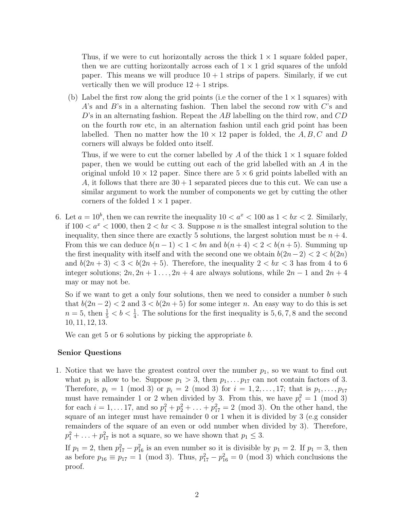Thus, if we were to cut horizontally across the thick  $1 \times 1$  square folded paper, then we are cutting horizontally across each of  $1 \times 1$  grid squares of the unfold paper. This means we will produce  $10 + 1$  strips of papers. Similarly, if we cut vertically then we will produce  $12 + 1$  strips.

(b) Label the first row along the grid points (i.e the corner of the  $1 \times 1$  squares) with  $A$ 's and  $B$ 's in a alternating fashion. Then label the second row with  $C$ 's and  $D$ 's in an alternating fashion. Repeat the AB labelling on the third row, and  $CD$ on the fourth row etc, in an alternation fashion until each grid point has been labelled. Then no matter how the  $10 \times 12$  paper is folded, the A, B, C and D corners will always be folded onto itself.

Thus, if we were to cut the corner labelled by A of the thick  $1 \times 1$  square folded paper, then we would be cutting out each of the grid labelled with an A in the original unfold  $10 \times 12$  paper. Since there are  $5 \times 6$  grid points labelled with an A, it follows that there are  $30 + 1$  separated pieces due to this cut. We can use a similar argument to work the number of components we get by cutting the other corners of the folded  $1 \times 1$  paper.

6. Let  $a = 10^b$ , then we can rewrite the inequality  $10 < a^x < 100$  as  $1 < bx < 2$ . Similarly, if  $100 < a^x < 1000$ , then  $2 < bx < 3$ . Suppose *n* is the smallest integral solution to the inequality, then since there are exactly 5 solutions, the largest solution must be  $n + 4$ . From this we can deduce  $b(n-1) < 1 < bn$  and  $b(n+4) < 2 < b(n+5)$ . Summing up the first inequality with itself and with the second one we obtain  $b(2n-2) < 2 < b(2n)$ and  $b(2n+3) < 3 < b(2n+5)$ . Therefore, the inequality  $2 < bx < 3$  has from 4 to 6 integer solutions;  $2n, 2n + 1, \ldots, 2n + 4$  are always solutions, while  $2n - 1$  and  $2n + 4$ may or may not be.

So if we want to get a only four solutions, then we need to consider a number  $b$  such that  $b(2n-2) < 2$  and  $3 < b(2n+5)$  for some integer n. An easy way to do this is set  $n=5$ , then  $\frac{1}{5} < b < \frac{1}{4}$ . The solutions for the first inequality is 5, 6, 7, 8 and the second 10, 11, 12, 13.

We can get 5 or 6 solutions by picking the appropriate b.

## Senior Questions

1. Notice that we have the greatest control over the number  $p_1$ , so we want to find out what  $p_1$  is allow to be. Suppose  $p_1 > 3$ , then  $p_1, \ldots p_{17}$  can not contain factors of 3. Therefore,  $p_i = 1 \pmod{3}$  or  $p_i = 2 \pmod{3}$  for  $i = 1, 2, ..., 17$ ; that is  $p_1, ..., p_{17}$ must have remainder 1 or 2 when divided by 3. From this, we have  $p_i^2 = 1 \pmod{3}$ for each  $i = 1, ..., 17$ , and so  $p_1^2 + p_2^2 + ... + p_{17}^2 = 2 \pmod{3}$ . On the other hand, the square of an integer must have remainder 0 or 1 when it is divided by 3 (e.g consider remainders of the square of an even or odd number when divided by 3). Therefore,  $p_1^2 + \ldots + p_{17}^2$  is not a square, so we have shown that  $p_1 \leq 3$ .

If  $p_1 = 2$ , then  $p_{17}^2 - p_{16}^2$  is an even number so it is divisible by  $p_1 = 2$ . If  $p_1 = 3$ , then as before  $p_{16} \equiv p_{17} = 1 \pmod{3}$ . Thus,  $p_{17}^2 - p_{16}^2 = 0 \pmod{3}$  which conclusions the proof.